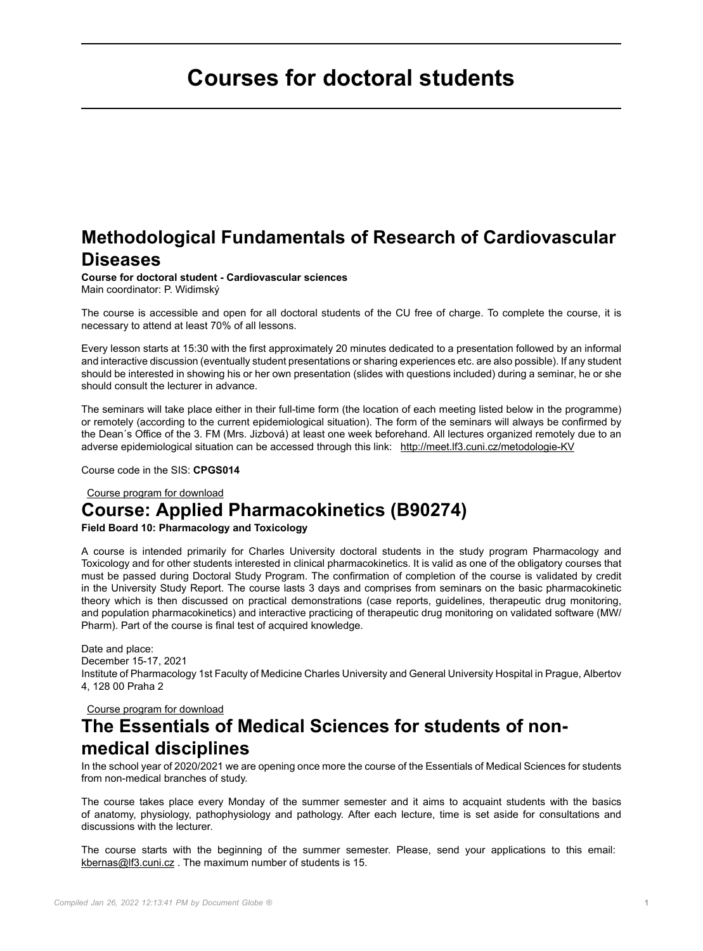# <span id="page-0-0"></span>**Courses for doctoral students**

## **Methodological Fundamentals of Research of Cardiovascular Diseases**

**Course for doctoral student - Cardiovascular sciences** Main coordinator: P. Widimský

The course is accessible and open for all doctoral students of the CU free of charge. To complete the course, it is necessary to attend at least 70% of all lessons.

Every lesson starts at 15:30 with the first approximately 20 minutes dedicated to a presentation followed by an informal and interactive discussion (eventually student presentations or sharing experiences etc. are also possible). If any student should be interested in showing his or her own presentation (slides with questions included) during a seminar, he or she should consult the lecturer in advance.

The seminars will take place either in their full-time form (the location of each meeting listed below in the programme) or remotely (according to the current epidemiological situation). The form of the seminars will always be confirmed by the Dean´s Office of the 3. FM (Mrs. Jizbová) at least one week beforehand. All lectures organized remotely due to an adverse epidemiological situation can be accessed through this link: <http://meet.lf3.cuni.cz/metodologie-KV>

Course code in the SIS: **CPGS014**

### Course program for download **Course: Applied Pharmacokinetics (B90274)**

#### **Field Board 10: Pharmacology and Toxicology**

A course is intended primarily for Charles University doctoral students in the study program Pharmacology and Toxicology and for other students interested in clinical pharmacokinetics. It is valid as one of the obligatory courses that must be passed during Doctoral Study Program. The confirmation of completion of the course is validated by credit in the University Study Report. The course lasts 3 days and comprises from seminars on the basic pharmacokinetic theory which is then discussed on practical demonstrations (case reports, guidelines, therapeutic drug monitoring, and population pharmacokinetics) and interactive practicing of therapeutic drug monitoring on validated software (MW/ Pharm). Part of the course is final test of acquired knowledge.

Date and place: December 15-17, 2021 Institute of Pharmacology 1st Faculty of Medicine Charles University and General University Hospital in Prague, Albertov 4, 128 00 Praha 2

Course program for download

## **The Essentials of Medical Sciences for students of nonmedical disciplines**

In the school year of 2020/2021 we are opening once more the course of the Essentials of Medical Sciences for students from non-medical branches of study.

The course takes place every Monday of the summer semester and it aims to acquaint students with the basics of anatomy, physiology, pathophysiology and pathology. After each lecture, time is set aside for consultations and discussions with the lecturer.

The course starts with the beginning of the summer semester. Please, send your applications to this email: [kbernas@lf3.cuni.cz](mailto:kbernas@lf3.cuni.cz) . The maximum number of students is 15.